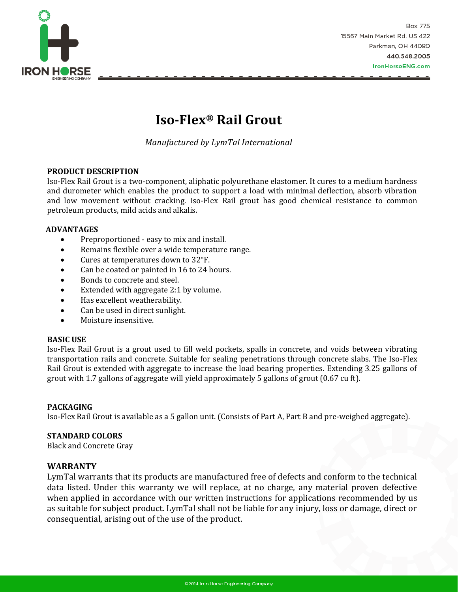

## **Iso-Flex® Rail Grout**

*Manufactured by LymTal International*

#### **PRODUCT DESCRIPTION**

Iso-Flex Rail Grout is a two-component, aliphatic polyurethane elastomer. It cures to a medium hardness and durometer which enables the product to support a load with minimal deflection, absorb vibration and low movement without cracking. Iso-Flex Rail grout has good chemical resistance to common petroleum products, mild acids and alkalis.

#### **ADVANTAGES**

- Preproportioned easy to mix and install.
- Remains flexible over a wide temperature range.
- Cures at temperatures down to 32°F.
- Can be coated or painted in 16 to 24 hours.
- Bonds to concrete and steel.
- Extended with aggregate 2:1 by volume.
- Has excellent weatherability.
- Can be used in direct sunlight.
- Moisture insensitive.

#### **BASIC USE**

Iso-Flex Rail Grout is a grout used to fill weld pockets, spalls in concrete, and voids between vibrating transportation rails and concrete. Suitable for sealing penetrations through concrete slabs. The Iso-Flex Rail Grout is extended with aggregate to increase the load bearing properties. Extending 3.25 gallons of grout with 1.7 gallons of aggregate will yield approximately 5 gallons of grout (0.67 cu ft).

#### **PACKAGING**

Iso-Flex Rail Grout is available as a 5 gallon unit. (Consists of Part A, Part B and pre-weighed aggregate).

#### **STANDARD COLORS**

Black and Concrete Gray

#### **WARRANTY**

LymTal warrants that its products are manufactured free of defects and conform to the technical data listed. Under this warranty we will replace, at no charge, any material proven defective when applied in accordance with our written instructions for applications recommended by us as suitable for subject product. LymTal shall not be liable for any injury, loss or damage, direct or consequential, arising out of the use of the product.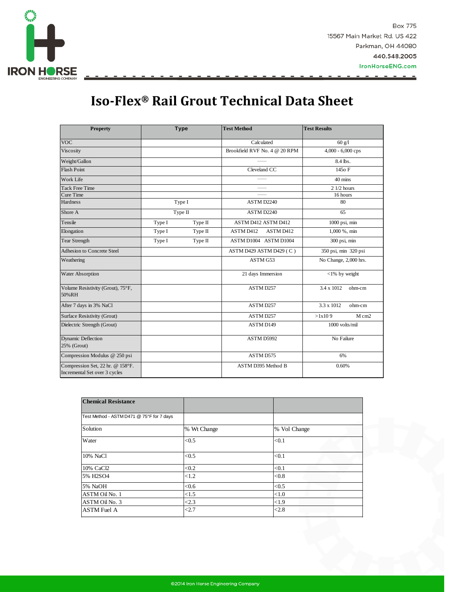

# **Iso-Flex® Rail Grout Technical Data Sheet**

| <b>Property</b>                                                   |        | <b>Type</b> | <b>Test Method</b>            |  | <b>Test Results</b>   |        |
|-------------------------------------------------------------------|--------|-------------|-------------------------------|--|-----------------------|--------|
| <b>VOC</b>                                                        |        |             | Calculated                    |  | $60$ g/l              |        |
| Viscosity                                                         |        |             | Brookfield RVF No. 4 @ 20 RPM |  | 4,000 - 6,000 cps     |        |
| Weight/Gallon                                                     |        |             |                               |  | 8.4 lbs.              |        |
| <b>Flash Point</b>                                                |        |             | Cleveland CC                  |  | 145 <sub>o</sub> F    |        |
| Work Life                                                         |        |             |                               |  | 40 mins               |        |
| <b>Tack Free Time</b>                                             |        |             |                               |  | $21/2$ hours          |        |
| Cure Time                                                         |        |             |                               |  | 16 hours              |        |
| Hardness                                                          | Type I |             | ASTM D2240                    |  | 80                    |        |
| Shore A                                                           |        | Type II     | ASTM D2240                    |  | 65                    |        |
| Tensile                                                           | Type I | Type II     | ASTM D412 ASTM D412           |  | 1000 psi, min         |        |
| Elongation                                                        | Type I | Type II     | <b>ASTM D412</b><br>ASTM D412 |  | 1,000 %, min          |        |
| Tear Strength                                                     | Type I | Type II     | ASTM D1004 ASTM D1004         |  | 300 psi, min          |        |
| Adhesion to Concrete Steel                                        |        |             | ASTM D429 ASTM D429 (C)       |  | 350 psi, min 320 psi  |        |
| Weathering                                                        |        |             | ASTM G53                      |  | No Change, 2,000 hrs. |        |
| <b>Water Absorption</b>                                           |        |             | 21 days Immersion             |  | $<$ 1% by weight      |        |
| Volume Resistivity (Grout), 75°F,<br>50%RH                        |        |             | <b>ASTM D257</b>              |  | 3.4 x 1012            | ohm-cm |
| After 7 days in 3% NaCl                                           |        |             | ASTM D257                     |  | 3.3 x 1012            | ohm-cm |
| Surface Resistivity (Grout)                                       |        |             | ASTM D257                     |  | >1x109                | M cm2  |
| Dielectric Strength (Grout)                                       |        |             | <b>ASTM D149</b>              |  | 1000 volts/mil        |        |
| <b>Dynamic Deflection</b><br>25% (Grout)                          |        |             | ASTM D5992                    |  | No Failure            |        |
| Compression Modulus @ 250 psi                                     |        |             | <b>ASTM D575</b><br>6%        |  |                       |        |
| Compression Set, 22 hr. @ 158°F.<br>Incremental Set over 3 cycles |        |             | ASTM D395 Method B            |  | 0.60%                 |        |

| <b>Chemical Resistance</b>                |             |              |
|-------------------------------------------|-------------|--------------|
| Test Method - ASTM D471 @ 75°F for 7 days |             |              |
| Solution                                  | % Wt Change | % Vol Change |
| Water                                     | < 0.5       | < 0.1        |
| 10% NaCl                                  | < 0.5       | < 0.1        |
| 10% CaCl2                                 | < 0.2       | < 0.1        |
| 5% H2SO4                                  | ${<}1.2$    | < 0.8        |
| 5% NaOH                                   | < 0.6       | < 0.5        |
| ASTM Oil No. 1                            | <1.5        | < 1.0        |
| ASTM Oil No. 3                            | < 2.3       | < 1.9        |
| <b>ASTM Fuel A</b>                        | < 2.7       | < 2.8        |